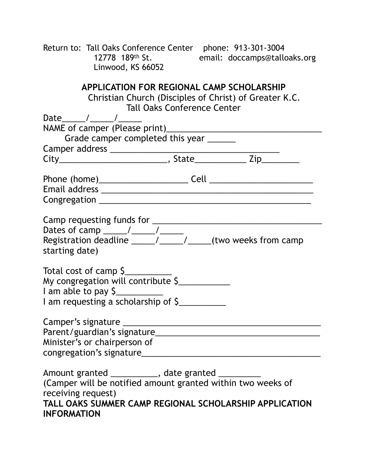Return to: Tall Oaks Conference Center phone: 913-301-3004<br>12778 189th St. email: doccamps@tallo email: doccamps@talloaks.org Linwood, KS 66052

| <b>APPLICATION FOR REGIONAL CAMP SCHOLARSHIP</b><br>Christian Church (Disciples of Christ) of Greater K.C.<br><b>Tall Oaks Conference Center</b>                                                                       |  |  |
|------------------------------------------------------------------------------------------------------------------------------------------------------------------------------------------------------------------------|--|--|
| Date $\frac{1}{\sqrt{2\pi}}$                                                                                                                                                                                           |  |  |
|                                                                                                                                                                                                                        |  |  |
| Grade camper completed this year ______                                                                                                                                                                                |  |  |
|                                                                                                                                                                                                                        |  |  |
|                                                                                                                                                                                                                        |  |  |
|                                                                                                                                                                                                                        |  |  |
|                                                                                                                                                                                                                        |  |  |
| starting date)                                                                                                                                                                                                         |  |  |
| Total cost of camp \$<br>My congregation will contribute \$<br>I am able to pay \$<br>I am requesting a scholarship of \$                                                                                              |  |  |
| Minister's or chairperson of<br>congregation's signature________                                                                                                                                                       |  |  |
| Amount granted ____________, date granted _______<br>(Camper will be notified amount granted within two weeks of<br>receiving request)<br>TALL OAKS SUMMER CAMP REGIONAL SCHOLARSHIP APPLICATION<br><b>INFORMATION</b> |  |  |